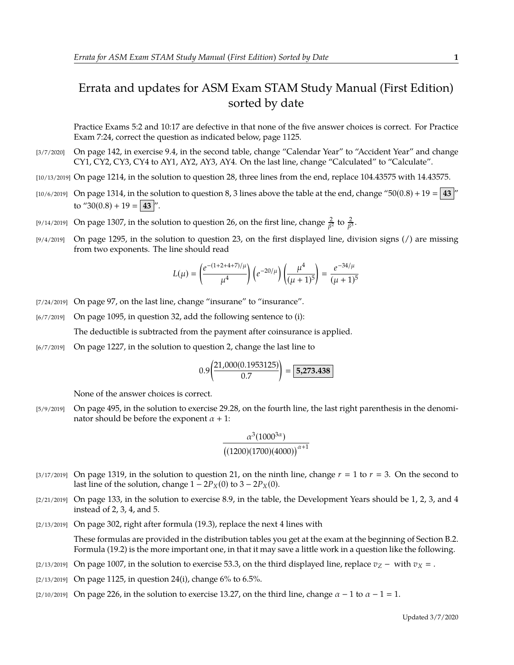## Errata and updates for ASM Exam STAM Study Manual (First Edition) sorted by date

Practice Exams 5:2 and 10:17 are defective in that none of the five answer choices is correct. For Practice Exam 7:24, correct the question as indicated below, page 1125.

- [3/7/2020] On page 142, in exercise 9.4, in the second table, change "Calendar Year" to "Accident Year" and change CY1, CY2, CY3, CY4 to AY1, AY2, AY3, AY4. On the last line, change "Calculated" to "Calculate".
- [10/13/2019] On page 1214, in the solution to question 28, three lines from the end, replace 104.43575 with 14.43575.
- [10/6/2019] On page 1314, in the solution to question 8, 3 lines above the table at the end, change "50(0.8) + 19 =  $\frac{43}{ }$ " to "30(0.8) + 19 = **43** |".
- [9/14/2019] On page 1307, in the solution to question 26, on the first line, change  $\frac{2}{\beta^2}$  to  $\frac{2}{\beta^3}$ .
- [9/4/2019] On page 1295, in the solution to question 23, on the first displayed line, division signs (/) are missing from two exponents. The line should read

$$
L(\mu)=\left(\frac{e^{-(1+2+4+7)/\mu}}{\mu^4}\right)\left(e^{-20/\mu}\right)\left(\frac{\mu^4}{(\mu+1)^5}\right)=\frac{e^{-34/\mu}}{(\mu+1)^5}
$$

- [7/24/2019] On page 97, on the last line, change "insurane" to "insurance".
- [6/7/2019] On page 1095, in question 32, add the following sentence to (i): The deductible is subtracted from the payment after coinsurance is applied.
- [6/7/2019] On page 1227, in the solution to question 2, change the last line to

$$
0.9 \left( \frac{21,000(0.1953125)}{0.7} \right) = \boxed{5,273.438}
$$

None of the answer choices is correct.

[5/9/2019] On page 495, in the solution to exercise 29.28, on the fourth line, the last right parenthesis in the denominator should be before the exponent  $\alpha + 1$ :

$$
\frac{\alpha^3(1000^{3\alpha})}{\left((1200)(1700)(4000)\right)^{\alpha+1}}
$$

- [3/17/2019] On page 1319, in the solution to question 21, on the ninth line, change  $r = 1$  to  $r = 3$ . On the second to last line of the solution, change  $1 - 2P_X(0)$  to  $3 - 2P_X(0)$ .
- $[2/21/2019]$  On page 133, in the solution to exercise 8.9, in the table, the Development Years should be 1, 2, 3, and 4 instead of 2, 3, 4, and 5.
- [2/13/2019] On page 302, right after formula (19.3), replace the next 4 lines with

These formulas are provided in the distribution tables you get at the exam at the beginning of Section B.2. Formula (19.2) is the more important one, in that it may save a little work in a question like the following.

- [2/13/2019] On page 1007, in the solution to exercise 53.3, on the third displayed line, replace  $v_Z$  with  $v_X =$ .
- [2/13/2019] On page 1125, in question 24(i), change 6% to 6.5%.
- [2/10/2019] On page 226, in the solution to exercise 13.27, on the third line, change  $\alpha 1$  to  $\alpha 1 = 1$ .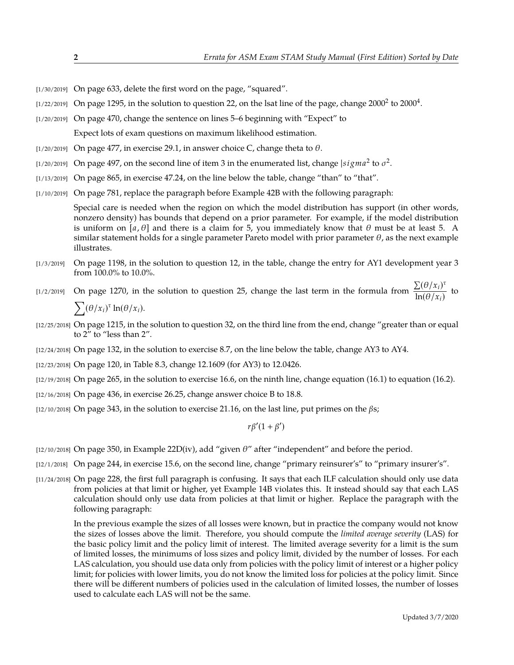- [1/30/2019] On page 633, delete the first word on the page, "squared".
- [1/22/2019] On page 1295, in the solution to question 22, on the lsat line of the page, change 2000<sup>2</sup> to 2000<sup>4</sup>.
- [1/20/2019] On page 470, change the sentence on lines 5–6 beginning with "Expect" to

Expect lots of exam questions on maximum likelihood estimation.

- [ $1/20/2019$ ] On page 477, in exercise 29.1, in answer choice C, change theta to  $\theta$ .
- [1/20/2019] On page 497, on the second line of item 3 in the enumerated list, change  $|sigma^2$  to  $\sigma^2$ .
- [1/13/2019] On page 865, in exercise 47.24, on the line below the table, change "than" to "that".
- [1/10/2019] On page 781, replace the paragraph before Example 42B with the following paragraph:

Special care is needed when the region on which the model distribution has support (in other words, nonzero density) has bounds that depend on a prior parameter. For example, if the model distribution is uniform on [a,  $\theta$ ] and there is a claim for 5, you immediately know that  $\theta$  must be at least 5. A similar statement holds for a single parameter Pareto model with prior parameter  $\theta$ , as the next example illustrates.

- [1/3/2019] On page 1198, in the solution to question 12, in the table, change the entry for AY1 development year 3 from 100.0% to 10.0%.
- [1/2/2019] On page 1270, in the solution to question 25, change the last term in the formula from  $\frac{\sum (\theta/x_i)^{\tau}}{\ln(\theta/x_i)}$  $\frac{\Delta(\mathcal{O}/n_i)}{\ln(\theta/x_i)}$  to  $\sum (\theta/x_i)^{\tau} \ln(\theta/x_i).$
- [12/25/2018] On page 1215, in the solution to question 32, on the third line from the end, change "greater than or equal to 2" to "less than 2".
- [12/24/2018] On page 132, in the solution to exercise 8.7, on the line below the table, change AY3 to AY4.
- [12/23/2018] On page 120, in Table 8.3, change 12.1609 (for AY3) to 12.0426.
- [12/19/2018] On page 265, in the solution to exercise 16.6, on the ninth line, change equation (16.1) to equation (16.2).
- [12/16/2018] On page 436, in exercise 26.25, change answer choice B to 18.8.
- [12/10/2018] On page 343, in the solution to exercise 21.16, on the last line, put primes on the  $\beta s$ ;

 $r\beta'(1+\beta')$ 

- [12/10/2018] On page 350, in Example 22D(iv), add "given  $\theta$ " after "independent" and before the period.
- [12/1/2018] On page 244, in exercise 15.6, on the second line, change "primary reinsurer's" to "primary insurer's".
- [11/24/2018] On page 228, the first full paragraph is confusing. It says that each ILF calculation should only use data from policies at that limit or higher, yet Example 14B violates this. It instead should say that each LAS calculation should only use data from policies at that limit or higher. Replace the paragraph with the following paragraph:

In the previous example the sizes of all losses were known, but in practice the company would not know the sizes of losses above the limit. Therefore, you should compute the *limited average severity* (LAS) for the basic policy limit and the policy limit of interest. The limited average severity for a limit is the sum of limited losses, the minimums of loss sizes and policy limit, divided by the number of losses. For each LAS calculation, you should use data only from policies with the policy limit of interest or a higher policy limit; for policies with lower limits, you do not know the limited loss for policies at the policy limit. Since there will be different numbers of policies used in the calculation of limited losses, the number of losses used to calculate each LAS will not be the same.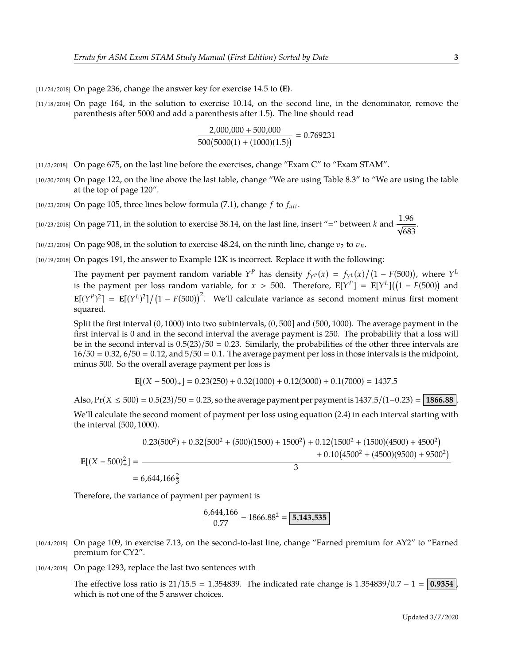[11/24/2018] On page 236, change the answer key for exercise 14.5 to **(E)**.

[11/18/2018] On page 164, in the solution to exercise 10.14, on the second line, in the denominator, remove the parenthesis after 5000 and add a parenthesis after 1.5). The line should read

$$
\frac{2,000,000 + 500,000}{500(5000(1) + (1000)(1.5))} = 0.769231
$$

- [11/3/2018] On page 675, on the last line before the exercises, change "Exam C" to "Exam STAM".
- [10/30/2018] On page 122, on the line above the last table, change "We are using Table 8.3" to "We are using the table at the top of page 120".
- [10/23/2018] On page 105, three lines below formula (7.1), change  $f$  to  $f_{ult}$ .
- [10/23/2018] On page 711, in the solution to exercise 38.14, on the last line, insert "=" between  $k$  and  $\frac{1.96}{\sqrt{683}}$ 683 .
- [10/23/2018] On page 908, in the solution to exercise 48.24, on the ninth line, change  $v_2$  to  $v_B$ .
- [10/19/2018] On pages 191, the answer to Example 12K is incorrect. Replace it with the following:

The payment per payment random variable  $Y^P$  has density  $f_{Y^P}(x) = f_{Y^L}(x)/(1 - F(500))$ , where  $Y^L$ is the payment per loss random variable, for  $x > 500$ . Therefore,  $\mathbf{E}[Y^P] = \mathbf{E}[Y^L]((1 - F(500))$  and  $\mathbf{E}[(Y^P)^2] = \mathbf{E}[(Y^L)^2]/(1 - F(500))^2$ . We'll calculate variance as second moment minus first moment squared.

Split the first interval (0, <sup>1000</sup>) into two subintervals, (0, <sup>500</sup>] and (500, <sup>1000</sup>). The average payment in the first interval is 0 and in the second interval the average payment is 250. The probability that a loss will be in the second interval is  $0.5(23)/50 = 0.23$ . Similarly, the probabilities of the other three intervals are  $16/50 = 0.32$ ,  $6/50 = 0.12$ , and  $5/50 = 0.1$ . The average payment per loss in those intervals is the midpoint, minus 500. So the overall average payment per loss is

$$
\mathbf{E}[(X - 500)_+] = 0.23(250) + 0.32(1000) + 0.12(3000) + 0.1(7000) = 1437.5
$$

Also,  $Pr(X \le 500) = 0.5(23)/50 = 0.23$ , so the average payment per payment is 1437.5/(1–0.23) = **1866.88** .

We'll calculate the second moment of payment per loss using equation (2.4) in each interval starting with the interval (500, <sup>1000</sup>).

$$
E[(X - 500)^{2}] = \frac{0.23(500^{2}) + 0.32(500^{2} + (500)(1500) + 1500^{2}) + 0.12(1500^{2} + (1500)(4500) + 4500^{2})}{3}
$$
  
= 6,644,166<sup>2</sup>/<sub>3</sub>

Therefore, the variance of payment per payment is

 $\frac{6,644,166}{0.77}$  - 1866.88<sup>2</sup> = **5,143,535** 

- [10/4/2018] On page 109, in exercise 7.13, on the second-to-last line, change "Earned premium for AY2" to "Earned premium for CY2".
- [10/4/2018] On page 1293, replace the last two sentences with

The effective loss ratio is <sup>21</sup>/15.<sup>5</sup> <sup>=</sup> <sup>1</sup>.354839. The indicated rate change is <sup>1</sup>.354839/0.<sup>7</sup> <sup>−</sup> <sup>1</sup> <sup>=</sup> **<sup>0</sup>**.**<sup>9354</sup>** , which is not one of the 5 answer choices.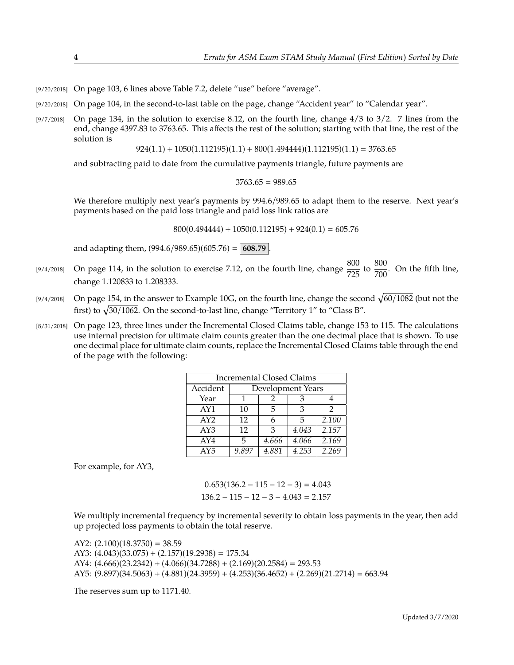- [9/20/2018] On page 103, 6 lines above Table 7.2, delete "use" before "average".
- [9/20/2018] On page 104, in the second-to-last table on the page, change "Accident year" to "Calendar year".
- $[9/7/2018]$  On page 134, in the solution to exercise 8.12, on the fourth line, change  $4/3$  to  $3/2$ . 7 lines from the end, change 4397.83 to 3763.65. This affects the rest of the solution; starting with that line, the rest of the solution is

 $924(1.1) + 1050(1.112195)(1.1) + 800(1.494444)(1.112195)(1.1) = 3763.65$ 

and subtracting paid to date from the cumulative payments triangle, future payments are

 $3763.65 = 989.65$ 

We therefore multiply next year's payments by <sup>994</sup>.6/989.<sup>65</sup> to adapt them to the reserve. Next year's payments based on the paid loss triangle and paid loss link ratios are

 $800(0.494444) + 1050(0.112195) + 924(0.1) = 605.76$ 

and adapting them,  $(994.6/989.65)(605.76) = | 608.79 |$ .

- [9/4/2018] On page 114, in the solution to exercise 7.12, on the fourth line, change  $\frac{800}{725}$  to  $\frac{800}{700}$ . On the fifth line, change 1.120833 to 1.208333.
- [9/4/2018] On page 154, in the answer to Example 10G, on the fourth line, change the second  $\sqrt{60/1082}$  (but not the first) to  $\sqrt{30/1062}$ . On the second-to-last line, change "Territory 1" to "Class B".
- [8/31/2018] On page 123, three lines under the Incremental Closed Claims table, change 153 to 115. The calculations use internal precision for ultimate claim counts greater than the one decimal place that is shown. To use one decimal place for ultimate claim counts, replace the Incremental Closed Claims table through the end of the page with the following:

| <b>Incremental Closed Claims</b> |                   |       |       |       |
|----------------------------------|-------------------|-------|-------|-------|
| Accident                         | Development Years |       |       |       |
| Year                             |                   |       | З     |       |
| AY1                              | 10                | 5     | З     | 2     |
| AY2                              | 12                | 6     | 5     | 2.100 |
| AY3                              | 12                | З     | 4.043 | 2.157 |
| AY4                              | 5                 | 4.666 | 4.066 | 2.169 |
| AY5                              | 9.897             | 4.881 | 4.253 | 2.269 |

For example, for AY3,

 $0.653(136.2 - 115 - 12 - 3) = 4.043$  $136.2 - 115 - 12 - 3 - 4.043 = 2.157$ 

We multiply incremental frequency by incremental severity to obtain loss payments in the year, then add up projected loss payments to obtain the total reserve.

AY2:  $(2.100)(18.3750) = 38.59$ AY3:  $(4.043)(33.075) + (2.157)(19.2938) = 175.34$ AY4:  $(4.666)(23.2342) + (4.066)(34.7288) + (2.169)(20.2584) = 293.53$ AY5:  $(9.897)(34.5063) + (4.881)(24.3959) + (4.253)(36.4652) + (2.269)(21.2714) = 663.94$ 

The reserves sum up to 1171.40.